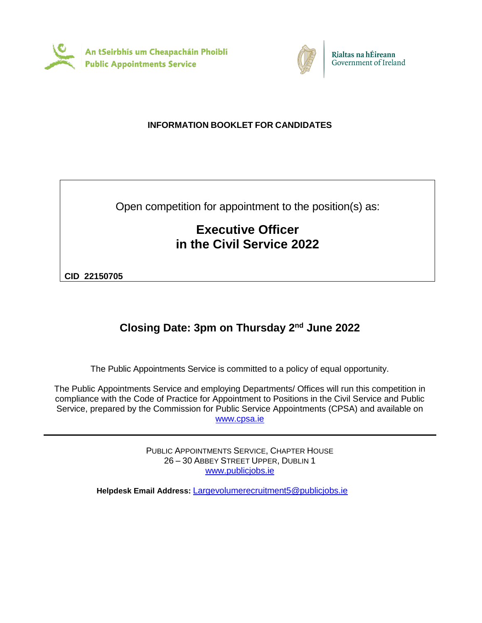



# **INFORMATION BOOKLET FOR CANDIDATES**

Open competition for appointment to the position(s) as:

# **Executive Officer in the Civil Service 2022**

**CID 22150705**

# **Closing Date: 3pm on Thursday 2nd June 2022**

The Public Appointments Service is committed to a policy of equal opportunity.

The Public Appointments Service and employing Departments/ Offices will run this competition in compliance with the Code of Practice for Appointment to Positions in the Civil Service and Public Service, prepared by the Commission for Public Service Appointments (CPSA) and available on [www.cpsa.ie](http://www.cpsa-online.ie/)

> PUBLIC APPOINTMENTS SERVICE, CHAPTER HOUSE 26 – 30 ABBEY STREET UPPER, DUBLIN 1 [www.publicjobs.ie](http://www.publicjobs.ie/)

**Helpdesk Email Address:** [Largevolumerecruitment5@publicjobs.ie](mailto:Largevolumerecruitment5@publicjobs.ie)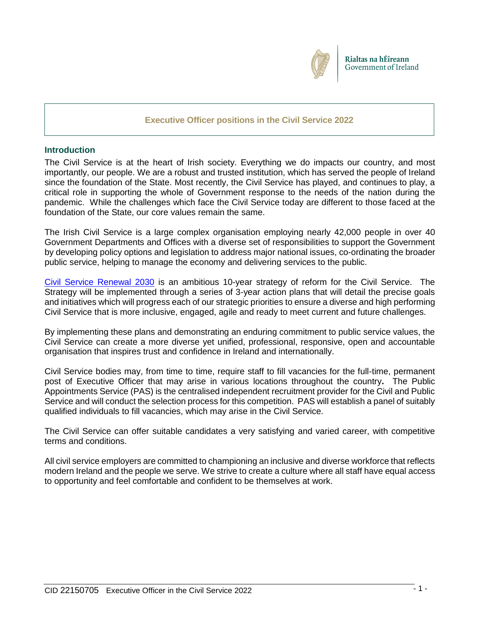

## **Executive Officer positions in the Civil Service 2022**

#### **Introduction**

The Civil Service is at the heart of Irish society. Everything we do impacts our country, and most importantly, our people. We are a robust and trusted institution, which has served the people of Ireland since the foundation of the State. Most recently, the Civil Service has played, and continues to play, a critical role in supporting the whole of Government response to the needs of the nation during the pandemic. While the challenges which face the Civil Service today are different to those faced at the foundation of the State, our core values remain the same.

The Irish Civil Service is a large complex organisation employing nearly 42,000 people in over 40 Government Departments and Offices with a diverse set of responsibilities to support the Government by developing policy options and legislation to address major national issues, co-ordinating the broader public service, helping to manage the economy and delivering services to the public.

[Civil Service Renewal 2030](https://www.gov.ie/en/publication/efd7f-civil-service-renewal-2030/) is an ambitious 10-year strategy of reform for the Civil Service. The Strategy will be implemented through a series of 3-year action plans that will detail the precise goals and initiatives which will progress each of our strategic priorities to ensure a diverse and high performing Civil Service that is more inclusive, engaged, agile and ready to meet current and future challenges.

By implementing these plans and demonstrating an enduring commitment to public service values, the Civil Service can create a more diverse yet unified, professional, responsive, open and accountable organisation that inspires trust and confidence in Ireland and internationally.

Civil Service bodies may, from time to time, require staff to fill vacancies for the full-time, permanent post of Executive Officer that may arise in various locations throughout the country**.** The Public Appointments Service (PAS) is the centralised independent recruitment provider for the Civil and Public Service and will conduct the selection process for this competition. PAS will establish a panel of suitably qualified individuals to fill vacancies, which may arise in the Civil Service.

The Civil Service can offer suitable candidates a very satisfying and varied career, with competitive terms and conditions.

All civil service employers are committed to championing an inclusive and diverse workforce that reflects modern Ireland and the people we serve. We strive to create a culture where all staff have equal access to opportunity and feel comfortable and confident to be themselves at work.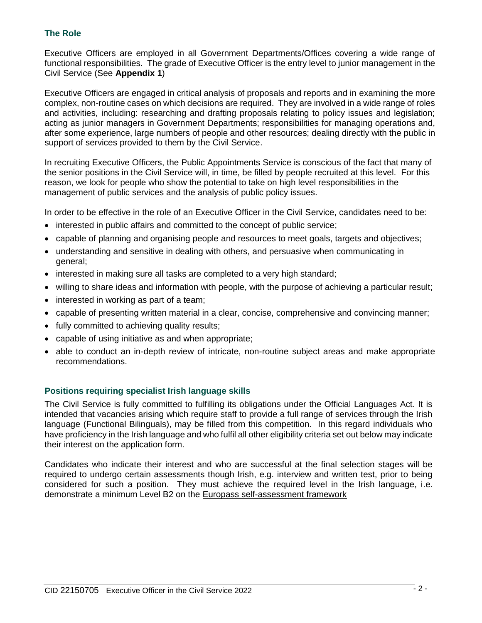# **The Role**

Executive Officers are employed in all Government Departments/Offices covering a wide range of functional responsibilities. The grade of Executive Officer is the entry level to junior management in the Civil Service (See **Appendix 1**)

Executive Officers are engaged in critical analysis of proposals and reports and in examining the more complex, non-routine cases on which decisions are required. They are involved in a wide range of roles and activities, including: researching and drafting proposals relating to policy issues and legislation; acting as junior managers in Government Departments; responsibilities for managing operations and, after some experience, large numbers of people and other resources; dealing directly with the public in support of services provided to them by the Civil Service.

In recruiting Executive Officers, the Public Appointments Service is conscious of the fact that many of the senior positions in the Civil Service will, in time, be filled by people recruited at this level. For this reason, we look for people who show the potential to take on high level responsibilities in the management of public services and the analysis of public policy issues.

In order to be effective in the role of an Executive Officer in the Civil Service, candidates need to be:

- interested in public affairs and committed to the concept of public service;
- capable of planning and organising people and resources to meet goals, targets and objectives;
- understanding and sensitive in dealing with others, and persuasive when communicating in general;
- interested in making sure all tasks are completed to a very high standard;
- willing to share ideas and information with people, with the purpose of achieving a particular result;
- interested in working as part of a team;
- capable of presenting written material in a clear, concise, comprehensive and convincing manner;
- fully committed to achieving quality results;
- capable of using initiative as and when appropriate;
- able to conduct an in-depth review of intricate, non-routine subject areas and make appropriate recommendations.

# **Positions requiring specialist Irish language skills**

The Civil Service is fully committed to fulfilling its obligations under the Official Languages Act. It is intended that vacancies arising which require staff to provide a full range of services through the Irish language (Functional Bilinguals), may be filled from this competition. In this regard individuals who have proficiency in the Irish language and who fulfil all other eligibility criteria set out below may indicate their interest on the application form.

Candidates who indicate their interest and who are successful at the final selection stages will be required to undergo certain assessments though Irish, e.g. interview and written test, prior to being considered for such a position. They must achieve the required level in the Irish language, i.e. demonstrate a minimum Level B2 on the [Europass self-assessment framework](http://www.publicjobs.ie/publicjobs/publication/document/Self_Assessment_Framework.pdf)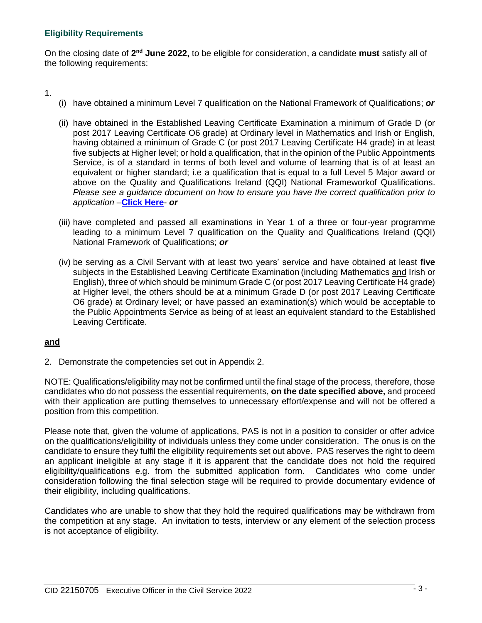# **Eligibility Requirements**

On the closing date of 2<sup>nd</sup> June 2022, to be eligible for consideration, a candidate must satisfy all of the following requirements:

1.

- (i) have obtained a minimum Level 7 qualification on the National Framework of Qualifications; *or*
- (ii) have obtained in the Established Leaving Certificate Examination a minimum of Grade D (or post 2017 Leaving Certificate O6 grade) at Ordinary level in Mathematics and Irish or English, having obtained a minimum of Grade C (or post 2017 Leaving Certificate H4 grade) in at least five subjects at Higher level; or hold a qualification, that in the opinion of the Public Appointments Service, is of a standard in terms of both level and volume of learning that is of at least an equivalent or higher standard; i.e a qualification that is equal to a full Level 5 Major award or above on the Quality and Qualifications Ireland (QQI) National Frameworkof Qualifications. *Please see a guidance document on how to ensure you have the correct qualification prior to application* –**[Click Here](https://www.publicjobs.ie/restapi/documents/Qualifications_Guidelines.pdf)**- *or*
- (iii) have completed and passed all examinations in Year 1 of a three or four-year programme leading to a minimum Level 7 qualification on the Quality and Qualifications Ireland (QQI) National Framework of Qualifications; *or*
- (iv) be serving as a Civil Servant with at least two years' service and have obtained at least **five** subjects in the Established Leaving Certificate Examination (including Mathematics and Irish or English), three of which should be minimum Grade C (or post 2017 Leaving Certificate H4 grade) at Higher level, the others should be at a minimum Grade D (or post 2017 Leaving Certificate O6 grade) at Ordinary level; or have passed an examination(s) which would be acceptable to the Public Appointments Service as being of at least an equivalent standard to the Established Leaving Certificate.

# **and**

2. Demonstrate the competencies set out in Appendix 2.

NOTE: Qualifications/eligibility may not be confirmed until the final stage of the process, therefore, those candidates who do not possess the essential requirements, **on the date specified above,** and proceed with their application are putting themselves to unnecessary effort/expense and will not be offered a position from this competition.

Please note that, given the volume of applications, PAS is not in a position to consider or offer advice on the qualifications/eligibility of individuals unless they come under consideration. The onus is on the candidate to ensure they fulfil the eligibility requirements set out above. PAS reserves the right to deem an applicant ineligible at any stage if it is apparent that the candidate does not hold the required eligibility/qualifications e.g. from the submitted application form. Candidates who come under consideration following the final selection stage will be required to provide documentary evidence of their eligibility, including qualifications.

Candidates who are unable to show that they hold the required qualifications may be withdrawn from the competition at any stage. An invitation to tests, interview or any element of the selection process is not acceptance of eligibility.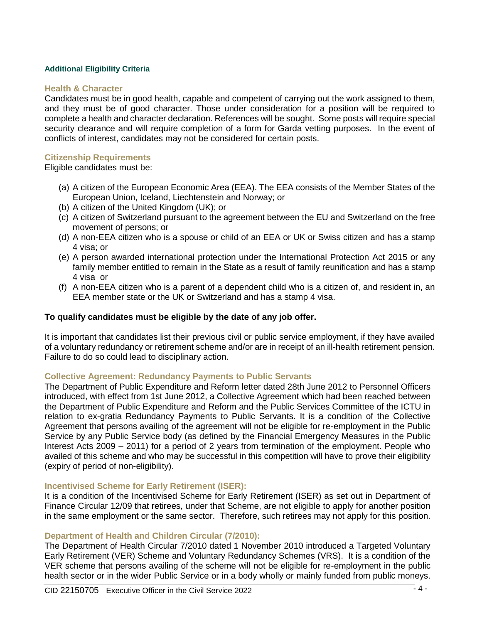## **Additional Eligibility Criteria**

#### **Health & Character**

Candidates must be in good health, capable and competent of carrying out the work assigned to them, and they must be of good character. Those under consideration for a position will be required to complete a health and character declaration. References will be sought. Some posts will require special security clearance and will require completion of a form for Garda vetting purposes. In the event of conflicts of interest, candidates may not be considered for certain posts.

## **Citizenship Requirements**

Eligible candidates must be:

- (a) A citizen of the European Economic Area (EEA). The EEA consists of the Member States of the European Union, Iceland, Liechtenstein and Norway; or
- (b) A citizen of the United Kingdom (UK); or
- (c) A citizen of Switzerland pursuant to the agreement between the EU and Switzerland on the free movement of persons; or
- (d) A non-EEA citizen who is a spouse or child of an EEA or UK or Swiss citizen and has a stamp 4 visa; or
- (e) A person awarded international protection under the International Protection Act 2015 or any family member entitled to remain in the State as a result of family reunification and has a stamp 4 visa or
- (f) A non-EEA citizen who is a parent of a dependent child who is a citizen of, and resident in, an EEA member state or the UK or Switzerland and has a stamp 4 visa.

# **To qualify candidates must be eligible by the date of any job offer.**

It is important that candidates list their previous civil or public service employment, if they have availed of a voluntary redundancy or retirement scheme and/or are in receipt of an ill-health retirement pension. Failure to do so could lead to disciplinary action.

#### **Collective Agreement: Redundancy Payments to Public Servants**

The Department of Public Expenditure and Reform letter dated 28th June 2012 to Personnel Officers introduced, with effect from 1st June 2012, a Collective Agreement which had been reached between the Department of Public Expenditure and Reform and the Public Services Committee of the ICTU in relation to ex-gratia Redundancy Payments to Public Servants. It is a condition of the Collective Agreement that persons availing of the agreement will not be eligible for re-employment in the Public Service by any Public Service body (as defined by the Financial Emergency Measures in the Public Interest Acts 2009 – 2011) for a period of 2 years from termination of the employment. People who availed of this scheme and who may be successful in this competition will have to prove their eligibility (expiry of period of non-eligibility).

#### **Incentivised Scheme for Early Retirement (ISER):**

It is a condition of the Incentivised Scheme for Early Retirement (ISER) as set out in Department of Finance Circular 12/09 that retirees, under that Scheme, are not eligible to apply for another position in the same employment or the same sector. Therefore, such retirees may not apply for this position.

#### **Department of Health and Children Circular (7/2010):**

The Department of Health Circular 7/2010 dated 1 November 2010 introduced a Targeted Voluntary Early Retirement (VER) Scheme and Voluntary Redundancy Schemes (VRS). It is a condition of the VER scheme that persons availing of the scheme will not be eligible for re-employment in the public health sector or in the wider Public Service or in a body wholly or mainly funded from public moneys.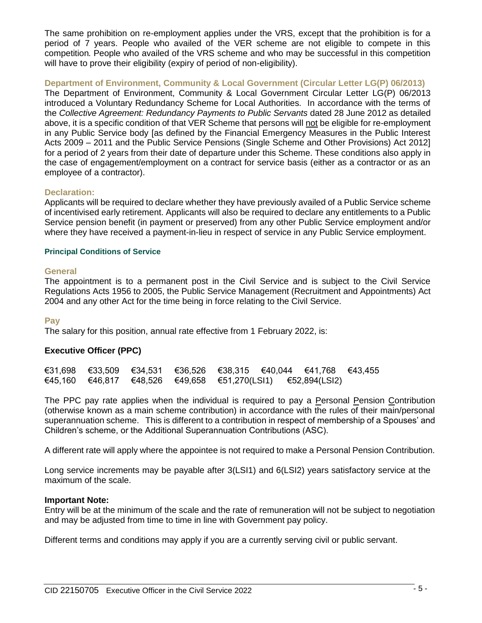The same prohibition on re-employment applies under the VRS, except that the prohibition is for a period of 7 years. People who availed of the VER scheme are not eligible to compete in this competition*.* People who availed of the VRS scheme and who may be successful in this competition will have to prove their eligibility (expiry of period of non-eligibility).

**Department of Environment, Community & Local Government (Circular Letter LG(P) 06/2013)**

The Department of Environment, Community & Local Government Circular Letter LG(P) 06/2013 introduced a Voluntary Redundancy Scheme for Local Authorities. In accordance with the terms of the *Collective Agreement: Redundancy Payments to Public Servants* dated 28 June 2012 as detailed above, it is a specific condition of that VER Scheme that persons will not be eligible for re-employment in any Public Service body [as defined by the Financial Emergency Measures in the Public Interest Acts 2009 – 2011 and the Public Service Pensions (Single Scheme and Other Provisions) Act 2012] for a period of 2 years from their date of departure under this Scheme. These conditions also apply in the case of engagement/employment on a contract for service basis (either as a contractor or as an employee of a contractor).

## **Declaration:**

Applicants will be required to declare whether they have previously availed of a Public Service scheme of incentivised early retirement. Applicants will also be required to declare any entitlements to a Public Service pension benefit (in payment or preserved) from any other Public Service employment and/or where they have received a payment-in-lieu in respect of service in any Public Service employment.

#### **Principal Conditions of Service**

#### **General**

The appointment is to a permanent post in the Civil Service and is subject to the Civil Service Regulations Acts 1956 to 2005, the Public Service Management (Recruitment and Appointments) Act 2004 and any other Act for the time being in force relating to the Civil Service.

#### **Pay**

The salary for this position, annual rate effective from 1 February 2022, is:

#### **Executive Officer (PPC)**

|  |  | $€31,698$ €33,509 €34,531 €36,526 €38,315 €40,044 €41,768 €43,455       |  |  |
|--|--|-------------------------------------------------------------------------|--|--|
|  |  | $€45,160$ $€46,817$ $€48,526$ $€49,658$ $€51,270(LSI1)$ $€52,894(LSI2)$ |  |  |

The PPC pay rate applies when the individual is required to pay a Personal Pension Contribution (otherwise known as a main scheme contribution) in accordance with the rules of their main/personal superannuation scheme. This is different to a contribution in respect of membership of a Spouses' and Children's scheme, or the Additional Superannuation Contributions (ASC).

A different rate will apply where the appointee is not required to make a Personal Pension Contribution.

Long service increments may be payable after 3(LSI1) and 6(LSI2) years satisfactory service at the maximum of the scale.

#### **Important Note:**

Entry will be at the minimum of the scale and the rate of remuneration will not be subject to negotiation and may be adjusted from time to time in line with Government pay policy.

Different terms and conditions may apply if you are a currently serving civil or public servant.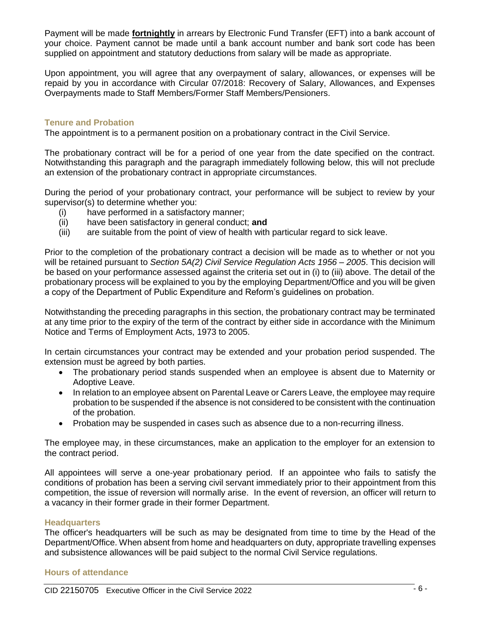Payment will be made **fortnightly** in arrears by Electronic Fund Transfer (EFT) into a bank account of your choice. Payment cannot be made until a bank account number and bank sort code has been supplied on appointment and statutory deductions from salary will be made as appropriate.

Upon appointment, you will agree that any overpayment of salary, allowances, or expenses will be repaid by you in accordance with Circular 07/2018: Recovery of Salary, Allowances, and Expenses Overpayments made to Staff Members/Former Staff Members/Pensioners.

## **Tenure and Probation**

The appointment is to a permanent position on a probationary contract in the Civil Service.

The probationary contract will be for a period of one year from the date specified on the contract. Notwithstanding this paragraph and the paragraph immediately following below, this will not preclude an extension of the probationary contract in appropriate circumstances.

During the period of your probationary contract, your performance will be subject to review by your supervisor(s) to determine whether you:

- (i) have performed in a satisfactory manner;
- (ii) have been satisfactory in general conduct; **and**
- (iii) are suitable from the point of view of health with particular regard to sick leave.

Prior to the completion of the probationary contract a decision will be made as to whether or not you will be retained pursuant to *Section 5A(2) Civil Service Regulation Acts 1956 – 2005*. This decision will be based on your performance assessed against the criteria set out in (i) to (iii) above. The detail of the probationary process will be explained to you by the employing Department/Office and you will be given a copy of the Department of Public Expenditure and Reform's guidelines on probation.

Notwithstanding the preceding paragraphs in this section, the probationary contract may be terminated at any time prior to the expiry of the term of the contract by either side in accordance with the Minimum Notice and Terms of Employment Acts, 1973 to 2005.

In certain circumstances your contract may be extended and your probation period suspended. The extension must be agreed by both parties.

- The probationary period stands suspended when an employee is absent due to Maternity or Adoptive Leave.
- In relation to an employee absent on Parental Leave or Carers Leave, the employee may require probation to be suspended if the absence is not considered to be consistent with the continuation of the probation.
- Probation may be suspended in cases such as absence due to a non-recurring illness.

The employee may, in these circumstances, make an application to the employer for an extension to the contract period.

All appointees will serve a one-year probationary period. If an appointee who fails to satisfy the conditions of probation has been a serving civil servant immediately prior to their appointment from this competition, the issue of reversion will normally arise. In the event of reversion, an officer will return to a vacancy in their former grade in their former Department.

#### **Headquarters**

The officer's headquarters will be such as may be designated from time to time by the Head of the Department/Office. When absent from home and headquarters on duty, appropriate travelling expenses and subsistence allowances will be paid subject to the normal Civil Service regulations.

#### **Hours of attendance**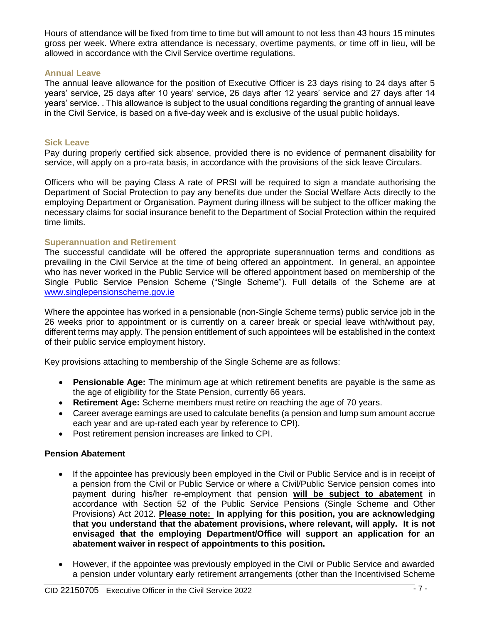Hours of attendance will be fixed from time to time but will amount to not less than 43 hours 15 minutes gross per week. Where extra attendance is necessary, overtime payments, or time off in lieu, will be allowed in accordance with the Civil Service overtime regulations.

## **Annual Leave**

The annual leave allowance for the position of Executive Officer is 23 days rising to 24 days after 5 years' service, 25 days after 10 years' service, 26 days after 12 years' service and 27 days after 14 years' service. . This allowance is subject to the usual conditions regarding the granting of annual leave in the Civil Service, is based on a five-day week and is exclusive of the usual public holidays.

## **Sick Leave**

Pay during properly certified sick absence, provided there is no evidence of permanent disability for service, will apply on a pro-rata basis, in accordance with the provisions of the sick leave Circulars.

Officers who will be paying Class A rate of PRSI will be required to sign a mandate authorising the Department of Social Protection to pay any benefits due under the Social Welfare Acts directly to the employing Department or Organisation. Payment during illness will be subject to the officer making the necessary claims for social insurance benefit to the Department of Social Protection within the required time limits.

## **Superannuation and Retirement**

The successful candidate will be offered the appropriate superannuation terms and conditions as prevailing in the Civil Service at the time of being offered an appointment. In general, an appointee who has never worked in the Public Service will be offered appointment based on membership of the Single Public Service Pension Scheme ("Single Scheme"). Full details of the Scheme are at [www.singlepensionscheme.gov.ie](http://www.singlepensionscheme.gov.ie/)

Where the appointee has worked in a pensionable (non-Single Scheme terms) public service job in the 26 weeks prior to appointment or is currently on a career break or special leave with/without pay, different terms may apply. The pension entitlement of such appointees will be established in the context of their public service employment history.

Key provisions attaching to membership of the Single Scheme are as follows:

- **Pensionable Age:** The minimum age at which retirement benefits are payable is the same as the age of eligibility for the State Pension, currently 66 years.
- **Retirement Age:** Scheme members must retire on reaching the age of 70 years.
- Career average earnings are used to calculate benefits (a pension and lump sum amount accrue each year and are up-rated each year by reference to CPI).
- Post retirement pension increases are linked to CPI.

# **Pension Abatement**

- If the appointee has previously been employed in the Civil or Public Service and is in receipt of a pension from the Civil or Public Service or where a Civil/Public Service pension comes into payment during his/her re-employment that pension **will be subject to abatement** in accordance with Section 52 of the Public Service Pensions (Single Scheme and Other Provisions) Act 2012. **Please note: In applying for this position, you are acknowledging that you understand that the abatement provisions, where relevant, will apply. It is not envisaged that the employing Department/Office will support an application for an abatement waiver in respect of appointments to this position.**
- However, if the appointee was previously employed in the Civil or Public Service and awarded a pension under voluntary early retirement arrangements (other than the Incentivised Scheme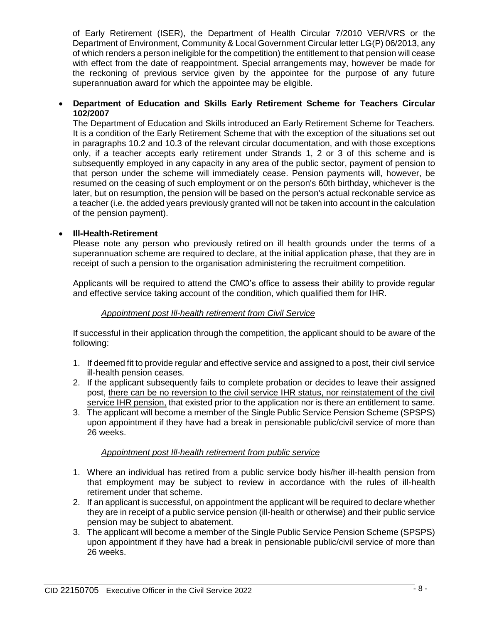of Early Retirement (ISER), the Department of Health Circular 7/2010 VER/VRS or the Department of Environment, Community & Local Government Circular letter LG(P) 06/2013, any of which renders a person ineligible for the competition) the entitlement to that pension will cease with effect from the date of reappointment. Special arrangements may, however be made for the reckoning of previous service given by the appointee for the purpose of any future superannuation award for which the appointee may be eligible.

# **Department of Education and Skills Early Retirement Scheme for Teachers Circular 102/2007**

The Department of Education and Skills introduced an Early Retirement Scheme for Teachers. It is a condition of the Early Retirement Scheme that with the exception of the situations set out in paragraphs 10.2 and 10.3 of the relevant circular documentation, and with those exceptions only, if a teacher accepts early retirement under Strands 1, 2 or 3 of this scheme and is subsequently employed in any capacity in any area of the public sector, payment of pension to that person under the scheme will immediately cease. Pension payments will, however, be resumed on the ceasing of such employment or on the person's 60th birthday, whichever is the later, but on resumption, the pension will be based on the person's actual reckonable service as a teacher (i.e. the added years previously granted will not be taken into account in the calculation of the pension payment).

# **Ill-Health-Retirement**

Please note any person who previously retired on ill health grounds under the terms of a superannuation scheme are required to declare, at the initial application phase, that they are in receipt of such a pension to the organisation administering the recruitment competition.

Applicants will be required to attend the CMO's office to assess their ability to provide regular and effective service taking account of the condition, which qualified them for IHR.

# *Appointment post Ill-health retirement from Civil Service*

If successful in their application through the competition, the applicant should to be aware of the following:

- 1. If deemed fit to provide regular and effective service and assigned to a post, their civil service ill-health pension ceases.
- 2. If the applicant subsequently fails to complete probation or decides to leave their assigned post, there can be no reversion to the civil service IHR status, nor reinstatement of the civil service IHR pension, that existed prior to the application nor is there an entitlement to same.
- 3. The applicant will become a member of the Single Public Service Pension Scheme (SPSPS) upon appointment if they have had a break in pensionable public/civil service of more than 26 weeks.

# *Appointment post Ill-health retirement from public service*

- 1. Where an individual has retired from a public service body his/her ill-health pension from that employment may be subject to review in accordance with the rules of ill-health retirement under that scheme.
- 2. If an applicant is successful, on appointment the applicant will be required to declare whether they are in receipt of a public service pension (ill-health or otherwise) and their public service pension may be subject to abatement.
- 3. The applicant will become a member of the Single Public Service Pension Scheme (SPSPS) upon appointment if they have had a break in pensionable public/civil service of more than 26 weeks.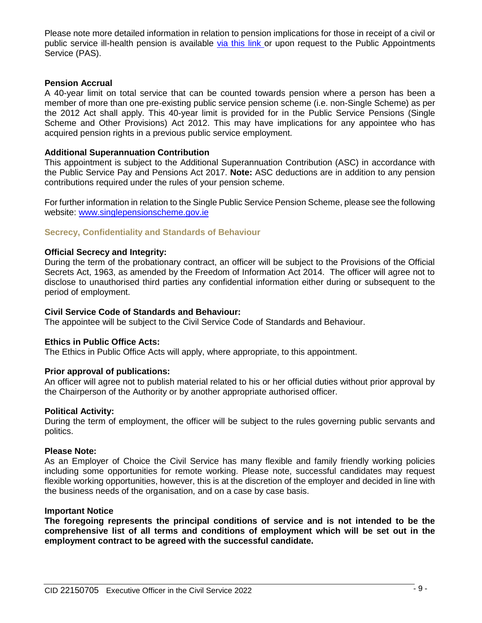Please note more detailed information in relation to pension implications for those in receipt of a civil or public service ill-health pension is available [via this link](https://hr.per.gov.ie/wp-content/uploads/2020/06/Ill-Health-Retirement-linked-document.pdf) or upon request to the Public Appointments Service (PAS).

#### **Pension Accrual**

A 40-year limit on total service that can be counted towards pension where a person has been a member of more than one pre-existing public service pension scheme (i.e. non-Single Scheme) as per the 2012 Act shall apply. This 40-year limit is provided for in the Public Service Pensions (Single Scheme and Other Provisions) Act 2012. This may have implications for any appointee who has acquired pension rights in a previous public service employment.

## **Additional Superannuation Contribution**

This appointment is subject to the Additional Superannuation Contribution (ASC) in accordance with the Public Service Pay and Pensions Act 2017. **Note:** ASC deductions are in addition to any pension contributions required under the rules of your pension scheme.

For further information in relation to the Single Public Service Pension Scheme, please see the following website: [www.singlepensionscheme.gov.ie](http://www.singlepensionscheme.gov.ie/)

## **Secrecy, Confidentiality and Standards of Behaviour**

## **Official Secrecy and Integrity:**

During the term of the probationary contract, an officer will be subject to the Provisions of the Official Secrets Act, 1963, as amended by the Freedom of Information Act 2014. The officer will agree not to disclose to unauthorised third parties any confidential information either during or subsequent to the period of employment.

#### **Civil Service Code of Standards and Behaviour:**

The appointee will be subject to the Civil Service Code of Standards and Behaviour.

#### **Ethics in Public Office Acts:**

The Ethics in Public Office Acts will apply, where appropriate, to this appointment.

#### **Prior approval of publications:**

An officer will agree not to publish material related to his or her official duties without prior approval by the Chairperson of the Authority or by another appropriate authorised officer.

#### **Political Activity:**

During the term of employment, the officer will be subject to the rules governing public servants and politics.

#### **Please Note:**

As an Employer of Choice the Civil Service has many flexible and family friendly working policies including some opportunities for remote working. Please note, successful candidates may request flexible working opportunities, however, this is at the discretion of the employer and decided in line with the business needs of the organisation, and on a case by case basis.

## **Important Notice**

**The foregoing represents the principal conditions of service and is not intended to be the comprehensive list of all terms and conditions of employment which will be set out in the employment contract to be agreed with the successful candidate.**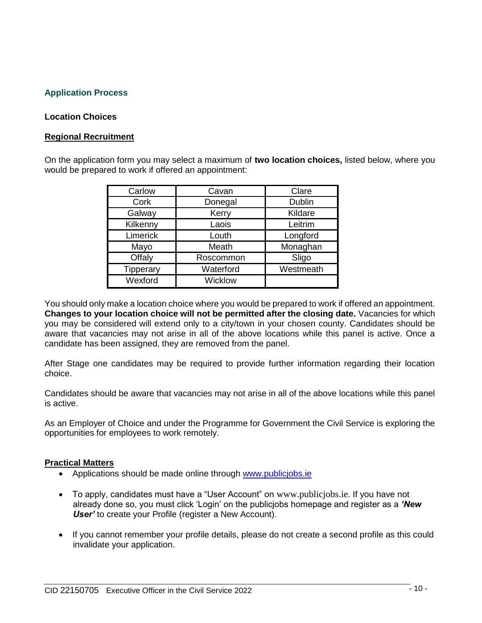# **Application Process**

## **Location Choices**

## **Regional Recruitment**

On the application form you may select a maximum of **two location choices,** listed below, where you would be prepared to work if offered an appointment:

| Carlow    | Cavan     | Clare     |  |
|-----------|-----------|-----------|--|
| Cork      | Donegal   | Dublin    |  |
| Galway    | Kerry     | Kildare   |  |
| Kilkenny  | Laois     | Leitrim   |  |
| Limerick  | Louth     | Longford  |  |
| Mayo      | Meath     | Monaghan  |  |
| Offaly    | Roscommon | Sligo     |  |
| Tipperary | Waterford | Westmeath |  |
| Wexford   | Wicklow   |           |  |

You should only make a location choice where you would be prepared to work if offered an appointment. **Changes to your location choice will not be permitted after the closing date.** Vacancies for which you may be considered will extend only to a city/town in your chosen county. Candidates should be aware that vacancies may not arise in all of the above locations while this panel is active. Once a candidate has been assigned, they are removed from the panel.

After Stage one candidates may be required to provide further information regarding their location choice.

Candidates should be aware that vacancies may not arise in all of the above locations while this panel is active.

As an Employer of Choice and under the Programme for Government the Civil Service is exploring the opportunities for employees to work remotely.

#### **Practical Matters**

- Applications should be made online through [www.publicjobs.ie](http://www.publicjobs.ie/)
- To apply, candidates must have a "User Account" on [www.publicjobs.ie](http://www.publicjobs.ie/). If you have not already done so, you must click 'Login' on the publicjobs homepage and register as a *'New User'* to create your Profile (register a New Account).
- If you cannot remember your profile details, please do not create a second profile as this could invalidate your application.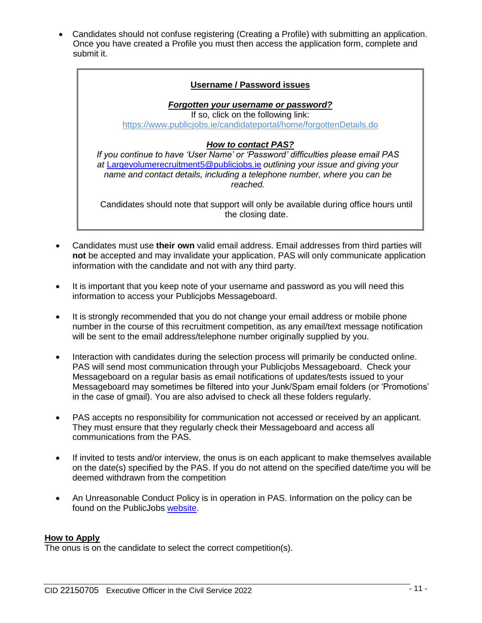Candidates should not confuse registering (Creating a Profile) with submitting an application. Once you have created a Profile you must then access the application form, complete and submit it.

# **Username / Password issues** *Forgotten your username or password?* If so, click on the following link: <https://www.publicjobs.ie/candidateportal/home/forgottenDetails.do> *How to contact PAS? If you continue to have 'User Name' or 'Password' difficulties please email PAS at* [Largevolumerecruitment5@publicjobs.ie](mailto:Largevolumerecruitment5@publicjobs.ie) *outlining your issue and giving your name and contact details, including a telephone number, where you can be reached.* Candidates should note that support will only be available during office hours until the closing date.

- Candidates must use **their own** valid email address. Email addresses from third parties will **not** be accepted and may invalidate your application. PAS will only communicate application information with the candidate and not with any third party.
- It is important that you keep note of your username and password as you will need this information to access your Publicjobs Messageboard.
- It is strongly recommended that you do not change your email address or mobile phone number in the course of this recruitment competition, as any email/text message notification will be sent to the email address/telephone number originally supplied by you.
- Interaction with candidates during the selection process will primarily be conducted online. PAS will send most communication through your Publicjobs Messageboard. Check your Messageboard on a regular basis as email notifications of updates/tests issued to your Messageboard may sometimes be filtered into your Junk/Spam email folders (or 'Promotions' in the case of gmail). You are also advised to check all these folders regularly.
- PAS accepts no responsibility for communication not accessed or received by an applicant. They must ensure that they regularly check their Messageboard and access all communications from the PAS.
- If invited to tests and/or interview, the onus is on each applicant to make themselves available on the date(s) specified by the PAS. If you do not attend on the specified date/time you will be deemed withdrawn from the competition
- An Unreasonable Conduct Policy is in operation in PAS. Information on the policy can be found on the PublicJobs [website.](https://www.publicjobs.ie/documents/Unreasonable_Conduct_Policy.pdf)

# **How to Apply**

The onus is on the candidate to select the correct competition(s).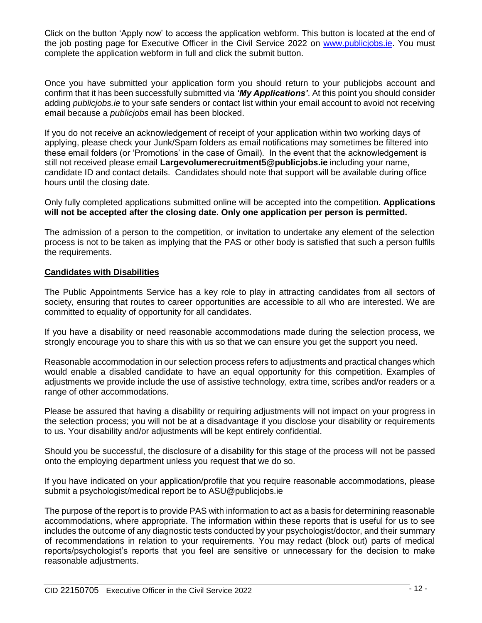Click on the button 'Apply now' to access the application webform. This button is located at the end of the job posting page for Executive Officer in the Civil Service 2022 on [www.publicjobs.ie.](http://www.publicjobs.ie/) You must complete the application webform in full and click the submit button.

Once you have submitted your application form you should return to your publicjobs account and confirm that it has been successfully submitted via *'My Applications'*. At this point you should consider adding *publicjobs.ie* to your safe senders or contact list within your email account to avoid not receiving email because a *publicjobs* email has been blocked.

If you do not receive an acknowledgement of receipt of your application within two working days of applying, please check your Junk/Spam folders as email notifications may sometimes be filtered into these email folders (or 'Promotions' in the case of Gmail). In the event that the acknowledgement is still not received please email **Largevolumerecruitment5@publicjobs.ie** including your name, candidate ID and contact details. Candidates should note that support will be available during office hours until the closing date.

Only fully completed applications submitted online will be accepted into the competition. **Applications will not be accepted after the closing date. Only one application per person is permitted.**

The admission of a person to the competition, or invitation to undertake any element of the selection process is not to be taken as implying that the PAS or other body is satisfied that such a person fulfils the requirements.

# **Candidates with Disabilities**

The Public Appointments Service has a key role to play in attracting candidates from all sectors of society, ensuring that routes to career opportunities are accessible to all who are interested. We are committed to equality of opportunity for all candidates.

If you have a disability or need reasonable accommodations made during the selection process, we strongly encourage you to share this with us so that we can ensure you get the support you need.

Reasonable accommodation in our selection process refers to adjustments and practical changes which would enable a disabled candidate to have an equal opportunity for this competition. Examples of adjustments we provide include the use of assistive technology, extra time, scribes and/or readers or a range of other accommodations.

Please be assured that having a disability or requiring adjustments will not impact on your progress in the selection process; you will not be at a disadvantage if you disclose your disability or requirements to us. Your disability and/or adjustments will be kept entirely confidential.

Should you be successful, the disclosure of a disability for this stage of the process will not be passed onto the employing department unless you request that we do so.

If you have indicated on your application/profile that you require reasonable accommodations, please submit a psychologist/medical report be to ASU@publicjobs.ie

The purpose of the report is to provide PAS with information to act as a basis for determining reasonable accommodations, where appropriate. The information within these reports that is useful for us to see includes the outcome of any diagnostic tests conducted by your psychologist/doctor, and their summary of recommendations in relation to your requirements. You may redact (block out) parts of medical reports/psychologist's reports that you feel are sensitive or unnecessary for the decision to make reasonable adjustments.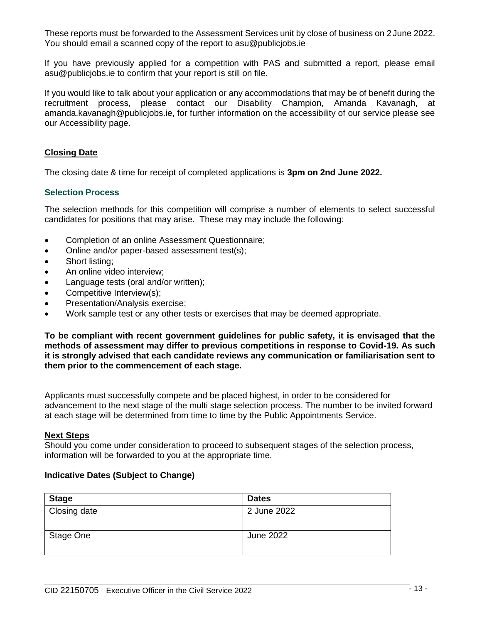These reports must be forwarded to the Assessment Services unit by close of business on 2 June 2022. You should email a scanned copy of the report to asu@publicjobs.ie

If you have previously applied for a competition with PAS and submitted a report, please email asu@publicjobs.ie to confirm that your report is still on file.

If you would like to talk about your application or any accommodations that may be of benefit during the recruitment process, please contact our Disability Champion, Amanda Kavanagh, at amanda.kavanagh@publicjobs.ie, for further information on the accessibility of our service please see our Accessibility page.

# **Closing Date**

The closing date & time for receipt of completed applications is **3pm on 2nd June 2022.**

# **Selection Process**

The selection methods for this competition will comprise a number of elements to select successful candidates for positions that may arise. These may may include the following:

- Completion of an online Assessment Questionnaire;
- Online and/or paper-based assessment test(s);
- Short listing;
- An online video interview;
- Language tests (oral and/or written);
- Competitive Interview(s);
- Presentation/Analysis exercise;
- Work sample test or any other tests or exercises that may be deemed appropriate.

**To be compliant with recent government guidelines for public safety, it is envisaged that the methods of assessment may differ to previous competitions in response to Covid-19. As such it is strongly advised that each candidate reviews any communication or familiarisation sent to them prior to the commencement of each stage.**

Applicants must successfully compete and be placed highest, in order to be considered for advancement to the next stage of the multi stage selection process. The number to be invited forward at each stage will be determined from time to time by the Public Appointments Service.

#### **Next Steps**

Should you come under consideration to proceed to subsequent stages of the selection process, information will be forwarded to you at the appropriate time.

#### **Indicative Dates (Subject to Change)**

| <b>Stage</b> | <b>Dates</b> |
|--------------|--------------|
| Closing date | 2 June 2022  |
| Stage One    | June 2022    |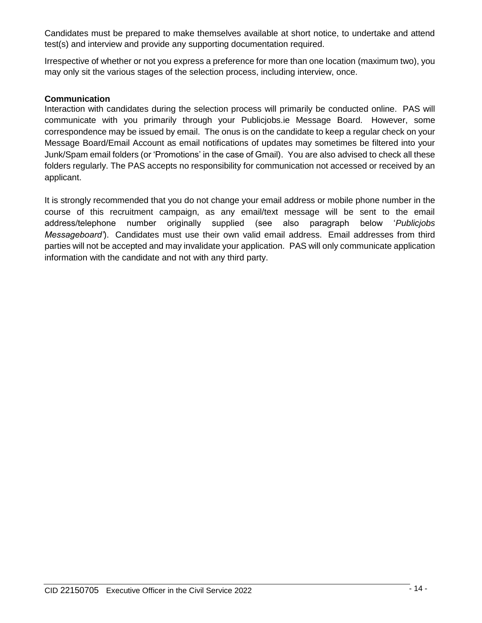Candidates must be prepared to make themselves available at short notice, to undertake and attend test(s) and interview and provide any supporting documentation required.

Irrespective of whether or not you express a preference for more than one location (maximum two), you may only sit the various stages of the selection process, including interview, once.

# **Communication**

Interaction with candidates during the selection process will primarily be conducted online. PAS will communicate with you primarily through your Publicjobs.ie Message Board. However, some correspondence may be issued by email. The onus is on the candidate to keep a regular check on your Message Board/Email Account as email notifications of updates may sometimes be filtered into your Junk/Spam email folders (or 'Promotions' in the case of Gmail). You are also advised to check all these folders regularly. The PAS accepts no responsibility for communication not accessed or received by an applicant.

It is strongly recommended that you do not change your email address or mobile phone number in the course of this recruitment campaign, as any email/text message will be sent to the email address/telephone number originally supplied (see also paragraph below '*Publicjobs Messageboard'*). Candidates must use their own valid email address. Email addresses from third parties will not be accepted and may invalidate your application. PAS will only communicate application information with the candidate and not with any third party.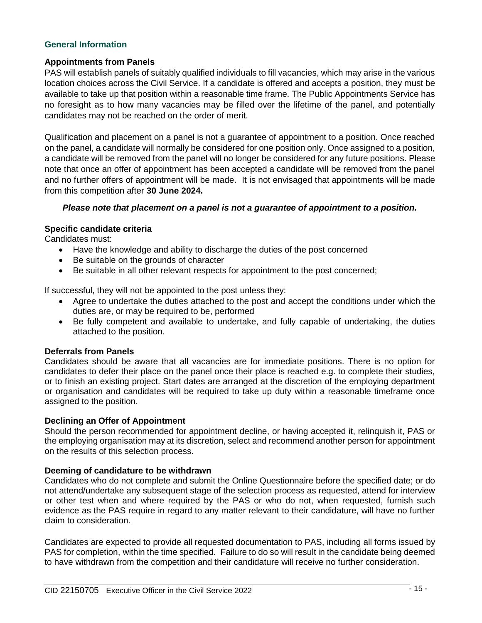# **General Information**

# **Appointments from Panels**

PAS will establish panels of suitably qualified individuals to fill vacancies, which may arise in the various location choices across the Civil Service. If a candidate is offered and accepts a position, they must be available to take up that position within a reasonable time frame. The Public Appointments Service has no foresight as to how many vacancies may be filled over the lifetime of the panel, and potentially candidates may not be reached on the order of merit.

Qualification and placement on a panel is not a guarantee of appointment to a position. Once reached on the panel, a candidate will normally be considered for one position only. Once assigned to a position, a candidate will be removed from the panel will no longer be considered for any future positions. Please note that once an offer of appointment has been accepted a candidate will be removed from the panel and no further offers of appointment will be made. It is not envisaged that appointments will be made from this competition after **30 June 2024.**

## *Please note that placement on a panel is not a guarantee of appointment to a position.*

## **Specific candidate criteria**

Candidates must:

- Have the knowledge and ability to discharge the duties of the post concerned
- Be suitable on the grounds of character
- Be suitable in all other relevant respects for appointment to the post concerned;

If successful, they will not be appointed to the post unless they:

- Agree to undertake the duties attached to the post and accept the conditions under which the duties are, or may be required to be, performed
- Be fully competent and available to undertake, and fully capable of undertaking, the duties attached to the position.

#### **Deferrals from Panels**

Candidates should be aware that all vacancies are for immediate positions. There is no option for candidates to defer their place on the panel once their place is reached e.g. to complete their studies, or to finish an existing project. Start dates are arranged at the discretion of the employing department or organisation and candidates will be required to take up duty within a reasonable timeframe once assigned to the position.

#### **Declining an Offer of Appointment**

Should the person recommended for appointment decline, or having accepted it, relinquish it, PAS or the employing organisation may at its discretion, select and recommend another person for appointment on the results of this selection process.

#### **Deeming of candidature to be withdrawn**

Candidates who do not complete and submit the Online Questionnaire before the specified date; or do not attend/undertake any subsequent stage of the selection process as requested, attend for interview or other test when and where required by the PAS or who do not, when requested, furnish such evidence as the PAS require in regard to any matter relevant to their candidature, will have no further claim to consideration.

Candidates are expected to provide all requested documentation to PAS, including all forms issued by PAS for completion, within the time specified. Failure to do so will result in the candidate being deemed to have withdrawn from the competition and their candidature will receive no further consideration.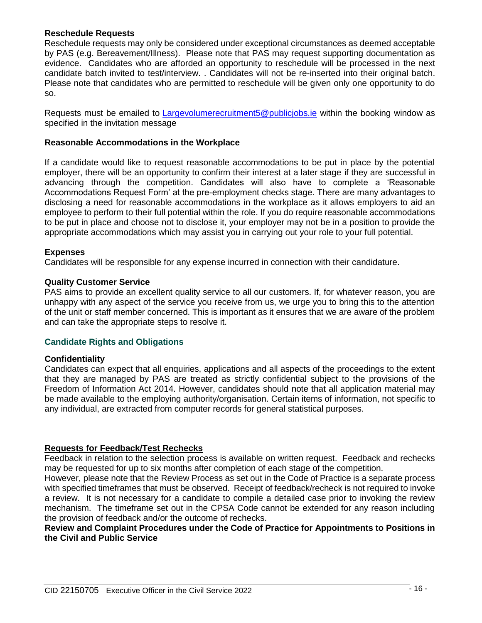## **Reschedule Requests**

Reschedule requests may only be considered under exceptional circumstances as deemed acceptable by PAS (e.g. Bereavement/Illness). Please note that PAS may request supporting documentation as evidence. Candidates who are afforded an opportunity to reschedule will be processed in the next candidate batch invited to test/interview. . Candidates will not be re-inserted into their original batch. Please note that candidates who are permitted to reschedule will be given only one opportunity to do so.

Requests must be emailed to [Largevolumerecruitment5@publicjobs.ie](mailto:Largevolumerecruitment5@publicjobs.ie) within the booking window as specified in the invitation message

## **Reasonable Accommodations in the Workplace**

If a candidate would like to request reasonable accommodations to be put in place by the potential employer, there will be an opportunity to confirm their interest at a later stage if they are successful in advancing through the competition. Candidates will also have to complete a 'Reasonable Accommodations Request Form' at the pre-employment checks stage. There are many advantages to disclosing a need for reasonable accommodations in the workplace as it allows employers to aid an employee to perform to their full potential within the role. If you do require reasonable accommodations to be put in place and choose not to disclose it, your employer may not be in a position to provide the appropriate accommodations which may assist you in carrying out your role to your full potential.

## **Expenses**

Candidates will be responsible for any expense incurred in connection with their candidature.

## **Quality Customer Service**

PAS aims to provide an excellent quality service to all our customers. If, for whatever reason, you are unhappy with any aspect of the service you receive from us, we urge you to bring this to the attention of the unit or staff member concerned. This is important as it ensures that we are aware of the problem and can take the appropriate steps to resolve it.

# **Candidate Rights and Obligations**

#### **Confidentiality**

Candidates can expect that all enquiries, applications and all aspects of the proceedings to the extent that they are managed by PAS are treated as strictly confidential subject to the provisions of the Freedom of Information Act 2014. However, candidates should note that all application material may be made available to the employing authority/organisation. Certain items of information, not specific to any individual, are extracted from computer records for general statistical purposes.

#### **Requests for Feedback/Test Rechecks**

Feedback in relation to the selection process is available on written request. Feedback and rechecks may be requested for up to six months after completion of each stage of the competition.

However, please note that the Review Process as set out in the Code of Practice is a separate process with specified timeframes that must be observed. Receipt of feedback/recheck is not required to invoke a review. It is not necessary for a candidate to compile a detailed case prior to invoking the review mechanism. The timeframe set out in the CPSA Code cannot be extended for any reason including the provision of feedback and/or the outcome of rechecks.

## **Review and Complaint Procedures under the Code of Practice for Appointments to Positions in the Civil and Public Service**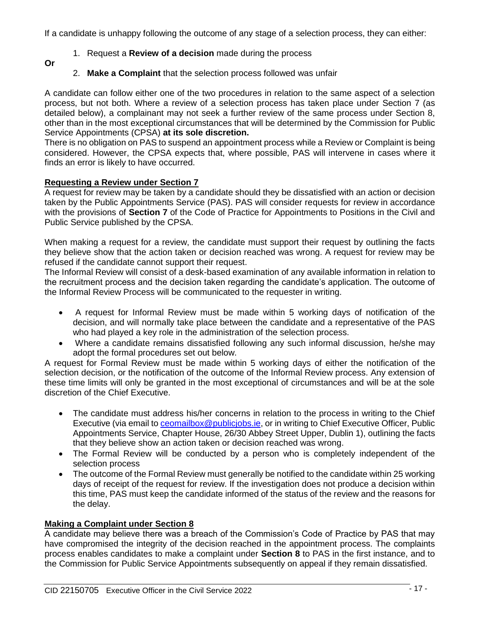If a candidate is unhappy following the outcome of any stage of a selection process, they can either:

- 1. Request a **Review of a decision** made during the process
- **Or**
- 2. **Make a Complaint** that the selection process followed was unfair

A candidate can follow either one of the two procedures in relation to the same aspect of a selection process, but not both. Where a review of a selection process has taken place under Section 7 (as detailed below), a complainant may not seek a further review of the same process under Section 8, other than in the most exceptional circumstances that will be determined by the Commission for Public Service Appointments (CPSA) **at its sole discretion.**

There is no obligation on PAS to suspend an appointment process while a Review or Complaint is being considered. However, the CPSA expects that, where possible, PAS will intervene in cases where it finds an error is likely to have occurred.

# **Requesting a Review under Section 7**

A request for review may be taken by a candidate should they be dissatisfied with an action or decision taken by the Public Appointments Service (PAS). PAS will consider requests for review in accordance with the provisions of **Section 7** of the Code of Practice for Appointments to Positions in the Civil and Public Service published by the CPSA.

When making a request for a review, the candidate must support their request by outlining the facts they believe show that the action taken or decision reached was wrong. A request for review may be refused if the candidate cannot support their request.

The Informal Review will consist of a desk-based examination of any available information in relation to the recruitment process and the decision taken regarding the candidate's application. The outcome of the Informal Review Process will be communicated to the requester in writing.

- A request for Informal Review must be made within 5 working days of notification of the decision, and will normally take place between the candidate and a representative of the PAS who had played a key role in the administration of the selection process.
- Where a candidate remains dissatisfied following any such informal discussion, he/she may adopt the formal procedures set out below.

A request for Formal Review must be made within 5 working days of either the notification of the selection decision, or the notification of the outcome of the Informal Review process. Any extension of these time limits will only be granted in the most exceptional of circumstances and will be at the sole discretion of the Chief Executive.

- The candidate must address his/her concerns in relation to the process in writing to the Chief Executive (via email to ceomailbox@publiciobs.ie, or in writing to Chief Executive Officer, Public Appointments Service, Chapter House, 26/30 Abbey Street Upper, Dublin 1), outlining the facts that they believe show an action taken or decision reached was wrong.
- The Formal Review will be conducted by a person who is completely independent of the selection process
- The outcome of the Formal Review must generally be notified to the candidate within 25 working days of receipt of the request for review. If the investigation does not produce a decision within this time, PAS must keep the candidate informed of the status of the review and the reasons for the delay.

# **Making a Complaint under Section 8**

A candidate may believe there was a breach of the Commission's Code of Practice by PAS that may have compromised the integrity of the decision reached in the appointment process. The complaints process enables candidates to make a complaint under **Section 8** to PAS in the first instance, and to the Commission for Public Service Appointments subsequently on appeal if they remain dissatisfied.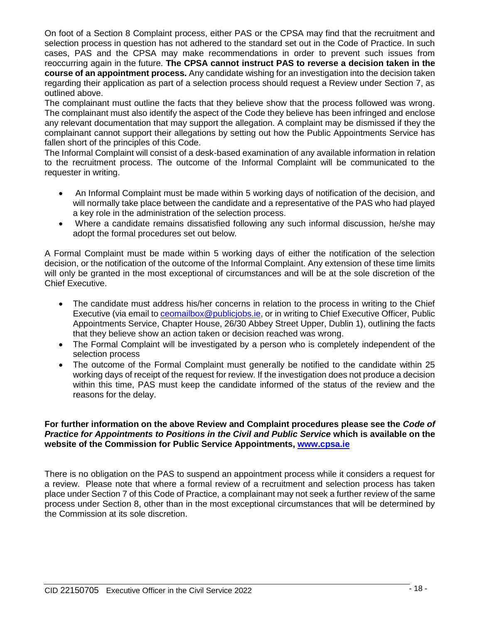On foot of a Section 8 Complaint process, either PAS or the CPSA may find that the recruitment and selection process in question has not adhered to the standard set out in the Code of Practice. In such cases, PAS and the CPSA may make recommendations in order to prevent such issues from reoccurring again in the future. **The CPSA cannot instruct PAS to reverse a decision taken in the course of an appointment process.** Any candidate wishing for an investigation into the decision taken regarding their application as part of a selection process should request a Review under Section 7, as outlined above.

The complainant must outline the facts that they believe show that the process followed was wrong. The complainant must also identify the aspect of the Code they believe has been infringed and enclose any relevant documentation that may support the allegation. A complaint may be dismissed if they the complainant cannot support their allegations by setting out how the Public Appointments Service has fallen short of the principles of this Code.

The Informal Complaint will consist of a desk-based examination of any available information in relation to the recruitment process. The outcome of the Informal Complaint will be communicated to the requester in writing.

- An Informal Complaint must be made within 5 working days of notification of the decision, and will normally take place between the candidate and a representative of the PAS who had played a key role in the administration of the selection process.
- Where a candidate remains dissatisfied following any such informal discussion, he/she may adopt the formal procedures set out below.

A Formal Complaint must be made within 5 working days of either the notification of the selection decision, or the notification of the outcome of the Informal Complaint. Any extension of these time limits will only be granted in the most exceptional of circumstances and will be at the sole discretion of the Chief Executive.

- The candidate must address his/her concerns in relation to the process in writing to the Chief Executive (via email to **ceomailbox@publiciobs.ie**, or in writing to Chief Executive Officer, Public Appointments Service, Chapter House, 26/30 Abbey Street Upper, Dublin 1), outlining the facts that they believe show an action taken or decision reached was wrong.
- The Formal Complaint will be investigated by a person who is completely independent of the selection process
- The outcome of the Formal Complaint must generally be notified to the candidate within 25 working days of receipt of the request for review. If the investigation does not produce a decision within this time, PAS must keep the candidate informed of the status of the review and the reasons for the delay.

## **For further information on the above Review and Complaint procedures please see the** *Code of Practice for Appointments to Positions in the Civil and Public Service* **which is available on the website of the Commission for Public Service Appointments, [www.cpsa.ie](http://www.cpsa.ie/)**

There is no obligation on the PAS to suspend an appointment process while it considers a request for a review. Please note that where a formal review of a recruitment and selection process has taken place under Section 7 of this Code of Practice, a complainant may not seek a further review of the same process under Section 8, other than in the most exceptional circumstances that will be determined by the Commission at its sole discretion.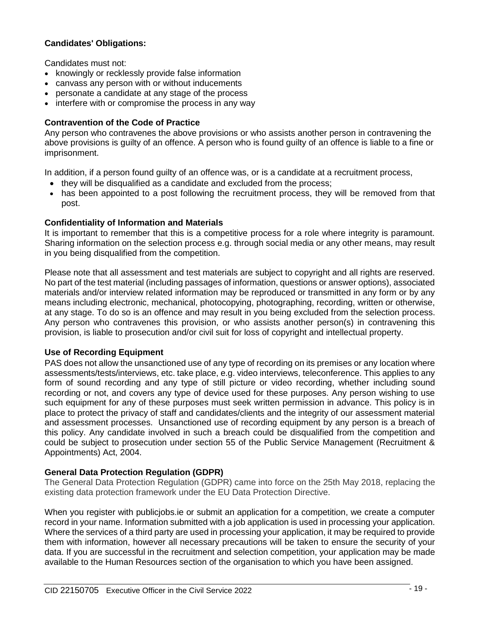# **Candidates' Obligations:**

Candidates must not:

- knowingly or recklessly provide false information
- canvass any person with or without inducements
- personate a candidate at any stage of the process
- interfere with or compromise the process in any way

# **Contravention of the Code of Practice**

Any person who contravenes the above provisions or who assists another person in contravening the above provisions is guilty of an offence. A person who is found guilty of an offence is liable to a fine or imprisonment.

In addition, if a person found guilty of an offence was, or is a candidate at a recruitment process,

- they will be disqualified as a candidate and excluded from the process;
- has been appointed to a post following the recruitment process, they will be removed from that post.

# **Confidentiality of Information and Materials**

It is important to remember that this is a competitive process for a role where integrity is paramount. Sharing information on the selection process e.g. through social media or any other means, may result in you being disqualified from the competition.

Please note that all assessment and test materials are subject to copyright and all rights are reserved. No part of the test material (including passages of information, questions or answer options), associated materials and/or interview related information may be reproduced or transmitted in any form or by any means including electronic, mechanical, photocopying, photographing, recording, written or otherwise, at any stage. To do so is an offence and may result in you being excluded from the selection process. Any person who contravenes this provision, or who assists another person(s) in contravening this provision, is liable to prosecution and/or civil suit for loss of copyright and intellectual property.

# **Use of Recording Equipment**

PAS does not allow the unsanctioned use of any type of recording on its premises or any location where assessments/tests/interviews, etc. take place, e.g. video interviews, teleconference. This applies to any form of sound recording and any type of still picture or video recording, whether including sound recording or not, and covers any type of device used for these purposes. Any person wishing to use such equipment for any of these purposes must seek written permission in advance. This policy is in place to protect the privacy of staff and candidates/clients and the integrity of our assessment material and assessment processes. Unsanctioned use of recording equipment by any person is a breach of this policy. Any candidate involved in such a breach could be disqualified from the competition and could be subject to prosecution under section 55 of the Public Service Management (Recruitment & Appointments) Act, 2004.

# **General Data Protection Regulation (GDPR)**

The General Data Protection Regulation (GDPR) came into force on the 25th May 2018, replacing the existing data protection framework under the EU Data Protection Directive.

When you register with publicjobs.ie or submit an application for a competition, we create a computer record in your name. Information submitted with a job application is used in processing your application. Where the services of a third party are used in processing your application, it may be required to provide them with information, however all necessary precautions will be taken to ensure the security of your data. If you are successful in the recruitment and selection competition, your application may be made available to the Human Resources section of the organisation to which you have been assigned.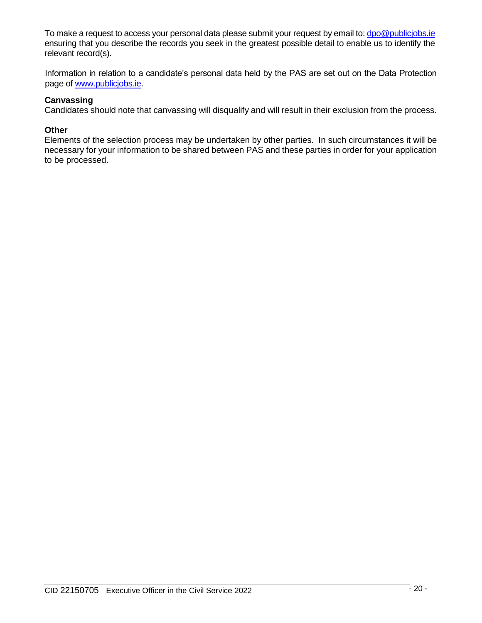To make a request to access your personal data please submit your request by email to: [dpo@publicjobs.ie](mailto:dpo@publicjobs.ie) ensuring that you describe the records you seek in the greatest possible detail to enable us to identify the relevant record(s).

Information in relation to a candidate's personal data held by the PAS are set out on the Data Protection page of [www.publicjobs.ie.](http://www.publicjobs.ie/)

# **Canvassing**

Candidates should note that canvassing will disqualify and will result in their exclusion from the process.

# **Other**

Elements of the selection process may be undertaken by other parties. In such circumstances it will be necessary for your information to be shared between PAS and these parties in order for your application to be processed.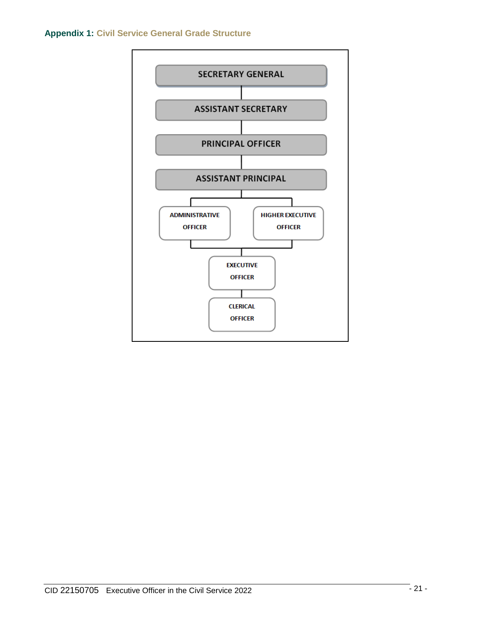## **Appendix 1: Civil Service General Grade Structure**

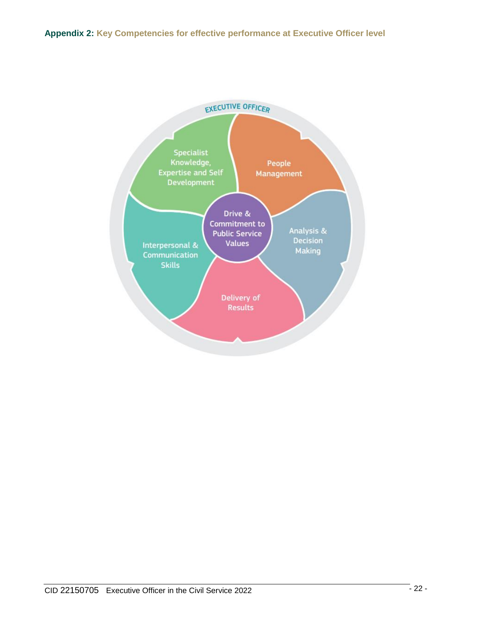